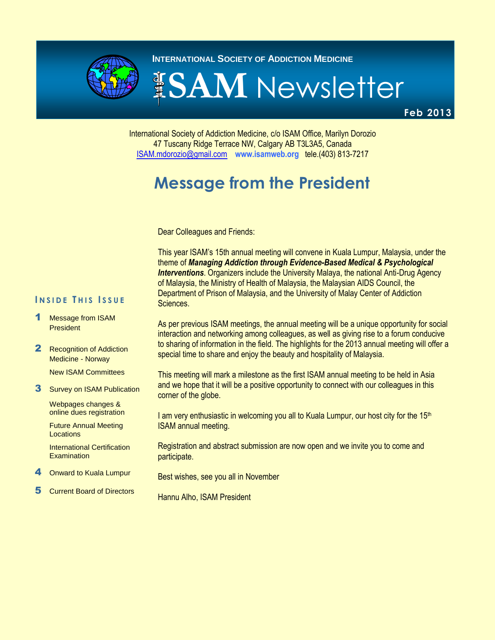

**INTERNATIONAL SOCIETY OF ADDICTION MEDICINE** 

# **ISAM** Newsletter

**Feb 2013**

International Society of Addiction Medicine, c/o ISAM Office, Marilyn Dorozio 47 Tuscany Ridge Terrace NW, Calgary AB T3L3A5, Canada [ISAM.mdorozio@gmail.com](mailto:office@isamweb.com/mdorozio@shaw.ca) **www.isamweb.org** tele.(403) 813-7217

# **Message from the President**

Dear Colleagues and Friends:

This year ISAM's 15th annual meeting will convene in Kuala Lumpur, Malaysia, under the theme of *Managing Addiction through Evidence-Based Medical & Psychological*  **Interventions**. Organizers include the University Malaya, the national Anti-Drug Agency of Malaysia, the Ministry of Health of Malaysia, the Malaysian AIDS Council, the Department of Prison of Malaysia, and the University of Malay Center of Addiction Sciences.

#### **I N S I D E T H I S I S S U E**

- Message from ISAM **President**
- 2 Recognition of Addiction Medicine - Norway

New ISAM Committees

**3** Survey on ISAM Publication

Webpages changes & online dues registration

Future Annual Meeting Locations

International Certification Examination

- **Onward to Kuala Lumpur**
- 5 Current Board of Directors

As per previous ISAM meetings, the annual meeting will be a unique opportunity for social interaction and networking among colleagues, as well as giving rise to a forum conducive to sharing of information in the field. The highlights for the 2013 annual meeting will offer a special time to share and enjoy the beauty and hospitality of Malaysia.

This meeting will mark a milestone as the first ISAM annual meeting to be held in Asia and we hope that it will be a positive opportunity to connect with our colleagues in this corner of the globe.

I am very enthusiastic in welcoming you all to Kuala Lumpur, our host city for the  $15<sup>th</sup>$ ISAM annual meeting.

Registration and abstract submission are now open and we invite you to come and participate.

Best wishes, see you all in November

Hannu Alho, ISAM President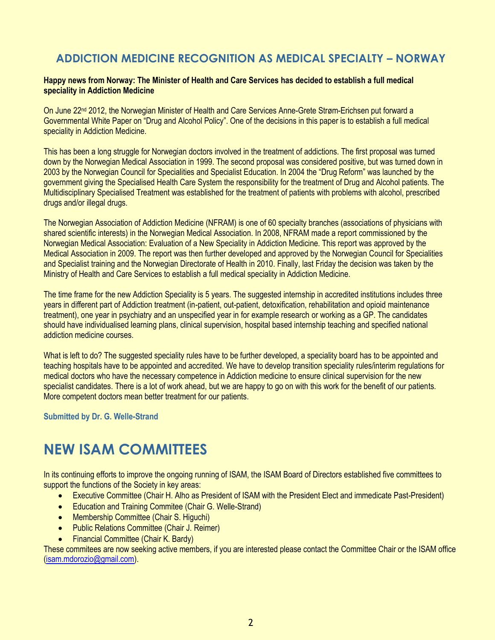#### **ADDICTION MEDICINE RECOGNITION AS MEDICAL SPECIALTY – NORWAY**

#### **Happy news from Norway: The Minister of Health and Care Services has decided to establish a full medical speciality in Addiction Medicine**

On June 22<sup>nd</sup> 2012, the Norwegian Minister of Health and Care Services Anne-Grete Strøm-Erichsen put forward a Governmental White Paper on "Drug and Alcohol Policy". One of the decisions in this paper is to establish a full medical speciality in Addiction Medicine.

This has been a long struggle for Norwegian doctors involved in the treatment of addictions. The first proposal was turned down by the Norwegian Medical Association in 1999. The second proposal was considered positive, but was turned down in 2003 by the Norwegian Council for Specialities and Specialist Education. In 2004 the "Drug Reform" was launched by the government giving the Specialised Health Care System the responsibility for the treatment of Drug and Alcohol patients. The Multidisciplinary Specialised Treatment was established for the treatment of patients with problems with alcohol, prescribed drugs and/or illegal drugs.

The Norwegian Association of Addiction Medicine (NFRAM) is one of 60 specialty branches (associations of physicians with shared scientific interests) in the Norwegian Medical Association. In 2008, NFRAM made a report commissioned by the Norwegian Medical Association: Evaluation of a New Speciality in Addiction Medicine. This report was approved by the Medical Association in 2009. The report was then further developed and approved by the Norwegian Council for Specialities and Specialist training and the Norwegian Directorate of Health in 2010. Finally, last Friday the decision was taken by the Ministry of Health and Care Services to establish a full medical speciality in Addiction Medicine.

The time frame for the new Addiction Speciality is 5 years. The suggested internship in accredited institutions includes three years in different part of Addiction treatment (in-patient, out-patient, detoxification, rehabilitation and opioid maintenance treatment), one year in psychiatry and an unspecified year in for example research or working as a GP. The candidates should have individualised learning plans, clinical supervision, hospital based internship teaching and specified national addiction medicine courses.

What is left to do? The suggested speciality rules have to be further developed, a speciality board has to be appointed and teaching hospitals have to be appointed and accredited. We have to develop transition speciality rules/interim regulations for medical doctors who have the necessary competence in Addiction medicine to ensure clinical supervision for the new specialist candidates. There is a lot of work ahead, but we are happy to go on with this work for the benefit of our patients. More competent doctors mean better treatment for our patients.

**Submitted by Dr. G. Welle-Strand**

## **NEW ISAM COMMITTEES**

In its continuing efforts to improve the ongoing running of ISAM, the ISAM Board of Directors established five committees to support the functions of the Society in key areas:

- Executive Committee (Chair H. Alho as President of ISAM with the President Elect and immedicate Past-President)
- Education and Training Commitee (Chair G. Welle-Strand)
- Membership Committee (Chair S. Higuchi)
- Public Relations Committee (Chair J. Reimer)
- Financial Committee (Chair K. Bardy)

These commitees are now seeking active members, if you are interested please contact the Committee Chair or the ISAM office [\(isam.mdorozio@gmail.com\)](mailto:isam.mdorozio@gmail.com).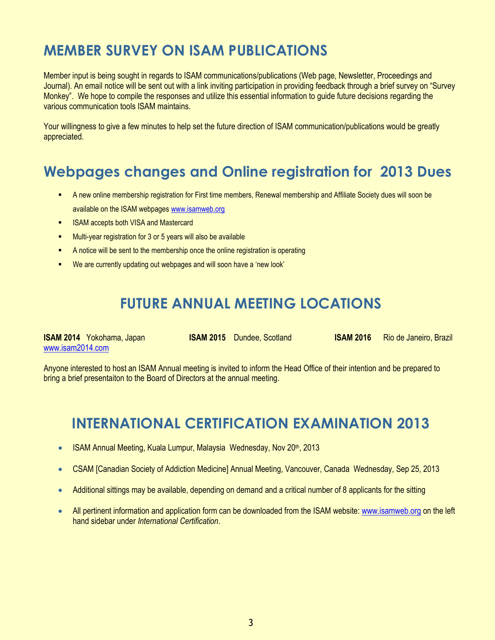# **MEMBER SURVEY ON ISAM PUBLICATIONS**

Member input is being sought in regards to ISAM communications/publications (Web page, Newsletter, Proceedings and Journal). An email notice will be sent out with a link inviting participation in providing feedback through a brief survey on "Survey Monkey". We hope to compile the responses and utilize this essential information to guide future decisions regarding the various communication tools ISAM maintains.

Your willingness to give a few minutes to help set the future direction of ISAM communication/publications would be greatly appreciated.

## **Webpages changes and Online registration for 2013 Dues**

- A new online membership registration for First time members, Renewal membership and Affiliate Society dues will soon be available on the ISAM webpage[s www.isamweb.org](http://www.isamweb.org/)
- ISAM accepts both VISA and Mastercard
- **Multi-year registration for 3 or 5 years will also be available**
- A notice will be sent to the membership once the online registration is operating
- We are currently updating out webpages and will soon have a 'new look'

### **FUTURE ANNUAL MEETING LOCATIONS**

| <b>ISAM 2014</b> Yokohama, Japan | <b>ISAM 2015</b> Dundee, Scotland | <b>ISAM 2016</b> Rio de Janeiro, Brazil |
|----------------------------------|-----------------------------------|-----------------------------------------|
| www.isam2014.com                 |                                   |                                         |

Anyone interested to host an ISAM Annual meeting is invited to inform the Head Office of their intention and be prepared to bring a brief presentaiton to the Board of Directors at the annual meeting.

### **INTERNATIONAL CERTIFICATION EXAMINATION 2013**

- ISAM Annual Meeting, Kuala Lumpur, Malaysia Wednesday, Nov 20th, 2013
- CSAM [Canadian Society of Addiction Medicine] Annual Meeting, Vancouver, Canada Wednesday, Sep 25, 2013
- Additional sittings may be available, depending on demand and a critical number of 8 applicants for the sitting
- All pertinent information and application form can be downloaded from the ISAM website[: www.isamweb.org](http://www.isamweb.org/) on the left hand sidebar under *International Certification*.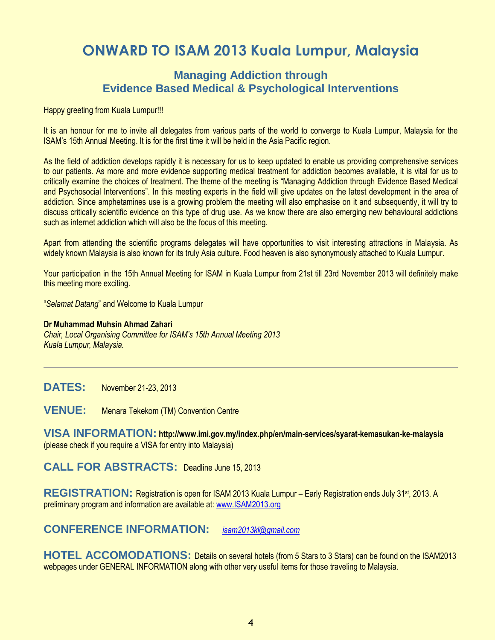## **ONWARD TO ISAM 2013 Kuala Lumpur, Malaysia**

#### **Managing Addiction through Evidence Based Medical & Psychological Interventions**

Happy greeting from Kuala Lumpur!!!

It is an honour for me to invite all delegates from various parts of the world to converge to Kuala Lumpur, Malaysia for the ISAM's 15th Annual Meeting. It is for the first time it will be held in the Asia Pacific region.

As the field of addiction develops rapidly it is necessary for us to keep updated to enable us providing comprehensive services to our patients. As more and more evidence supporting medical treatment for addiction becomes available, it is vital for us to critically examine the choices of treatment. The theme of the meeting is "Managing Addiction through Evidence Based Medical and Psychosocial Interventions". In this meeting experts in the field will give updates on the latest development in the area of addiction. Since amphetamines use is a growing problem the meeting will also emphasise on it and subsequently, it will try to discuss critically scientific evidence on this type of drug use. As we know there are also emerging new behavioural addictions such as internet addiction which will also be the focus of this meeting.

Apart from attending the scientific programs delegates will have opportunities to visit interesting attractions in Malaysia. As widely known Malaysia is also known for its truly Asia culture. Food heaven is also synonymously attached to Kuala Lumpur.

Your participation in the 15th Annual Meeting for ISAM in Kuala Lumpur from 21st till 23rd November 2013 will definitely make this meeting more exciting.

"*Selamat Datang*" and Welcome to Kuala Lumpur

#### **Dr Muhammad Muhsin Ahmad Zahari**

*Chair, Local Organising Committee for ISAM's 15th Annual Meeting 2013 Kuala Lumpur, Malaysia.* 

**DATES:** November 21-23, 2013

**VENUE:** Menara Tekekom (TM) Convention Centre

**VISA INFORMATION: http://www.imi.gov.my/index.php/en/main-services/syarat-kemasukan-ke-malaysia**  (please check if you require a VISA for entry into Malaysia)

**CALL FOR ABSTRACTS:** Deadline June 15, 2013

**REGISTRATION:** Registration is open for ISAM 2013 Kuala Lumpur – Early Registration ends July 31st, 2013. A preliminary program and information are available at[: www.ISAM2013.org](http://www.isam2013.org/)

**CONFERENCE INFORMATION:** *[isam2013kl@gmail.com](mailto:isam2013kl@gmail.com)*

**HOTEL ACCOMODATIONS:** Details on several hotels (from 5 Stars to 3 Stars) can be found on the ISAM2013 webpages under GENERAL INFORMATION along with other very useful items for those traveling to Malaysia.